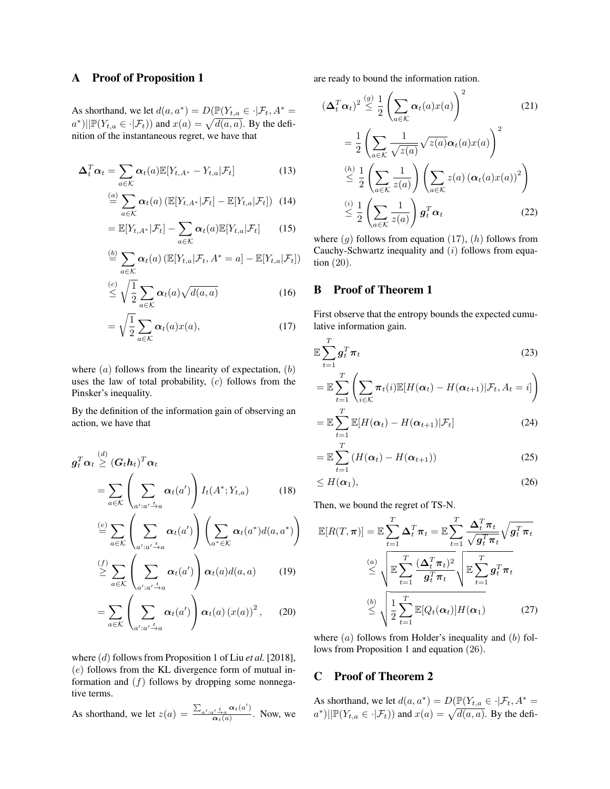## A Proof of Proposition 1

As shorthand, we let  $d(a, a^*) = D(\mathbb{P}(Y_{t,a} \in \cdot | \mathcal{F}_t, A^*) =$  $a^*$ )|| $\mathbb{P}(Y_{t,a} \in \cdot | \mathcal{F}_t)$  and  $x(a) = \sqrt{d(a, a)}$ . By the definition of the instantaneous regret, we have that

$$
\Delta_t^T \alpha_t = \sum_{a \in \mathcal{K}} \alpha_t(a) \mathbb{E}[Y_{t,A^*} - Y_{t,a} | \mathcal{F}_t]
$$
(13)

$$
\stackrel{(a)}{=} \sum_{a \in \mathcal{K}} \alpha_t(a) \left( \mathbb{E}[Y_{t,A^*} | \mathcal{F}_t] - \mathbb{E}[Y_{t,a} | \mathcal{F}_t] \right) \tag{14}
$$

$$
= \mathbb{E}[Y_{t,A^*}|\mathcal{F}_t] - \sum_{a \in \mathcal{K}} \alpha_t(a) \mathbb{E}[Y_{t,a}|\mathcal{F}_t]
$$
 (15)

$$
\stackrel{(b)}{=} \sum_{a \in \mathcal{K}} \alpha_t(a) \left( \mathbb{E}[Y_{t,a} | \mathcal{F}_t, A^* = a] - \mathbb{E}[Y_{t,a} | \mathcal{F}_t] \right)
$$

$$
\stackrel{(c)}{\leq} \sqrt{\frac{1}{2}} \sum_{a \in \mathcal{K}} \alpha_t(a) \sqrt{d(a, a)} \tag{16}
$$

$$
=\sqrt{\frac{1}{2}}\sum_{a\in\mathcal{K}}\alpha_t(a)x(a),\tag{17}
$$

where  $(a)$  follows from the linearity of expectation,  $(b)$ uses the law of total probability,  $(c)$  follows from the Pinsker's inequality.

By the definition of the information gain of observing an action, we have that

$$
\mathbf{g}_t^T \alpha_t \stackrel{(d)}{\geq} (\mathbf{G}_t \mathbf{h}_t)^T \alpha_t
$$
\n
$$
= \sum_{a \in \mathcal{K}} \left( \sum_{a': a' \stackrel{t}{\to} a} \alpha_t(a') \right) I_t(A^*; Y_{t,a}) \tag{18}
$$

$$
\stackrel{(e)}{=} \sum_{a \in \mathcal{K}} \left( \sum_{a': a' \stackrel{t}{\to} a} \alpha_t(a') \right) \left( \sum_{a^* \in \mathcal{K}} \alpha_t(a^*) d(a, a^*) \right)
$$
\n
$$
\stackrel{(f)}{\geq} \sum_{a \in \mathcal{K}} \left( \sum_{a': a' \stackrel{t}{\to} a} \alpha_t(a') \right) \alpha_t(a) d(a, a) \tag{19}
$$

$$
= \sum_{a \in \mathcal{K}} \left( \sum_{a': a' \stackrel{\iota}{\to} a} \alpha_t(a') \right) \alpha_t(a) (x(a))^2, \qquad (20)
$$

where (d) follows from Proposition 1 of Liu *et al.* [2018],  $(e)$  follows from the KL divergence form of mutual information and  $(f)$  follows by dropping some nonnegative terms.

As shorthand, we let  $z(a) = \frac{\sum_{a',a'} t_a a_t(a')}{\sum_{a'} a(a')}$  $\frac{\alpha t^{\prime} \rightarrow a}{\alpha_t(a)}$ . Now, we are ready to bound the information ration.

$$
(\Delta_t^T \alpha_t)^2 \stackrel{(g)}{\leq} \frac{1}{2} \left( \sum_{a \in \mathcal{K}} \alpha_t(a) x(a) \right)^2 \qquad (21)
$$

$$
= \frac{1}{2} \left( \sum_{a \in \mathcal{K}} \frac{1}{\sqrt{z(a)}} \sqrt{z(a)} \alpha_t(a) x(a) \right)^2
$$

$$
\stackrel{(h)}{\leq} \frac{1}{2} \left( \sum_{a \in \mathcal{K}} \frac{1}{z(a)} \right) \left( \sum_{a \in \mathcal{K}} z(a) \left( \alpha_t(a) x(a) \right)^2 \right)
$$

$$
\stackrel{(i)}{\leq} \frac{1}{2} \left( \sum_{a \in \mathcal{K}} \frac{1}{z(a)} \right) g_t^T \alpha_t \qquad (22)
$$

where  $(g)$  follows from equation  $(17)$ ,  $(h)$  follows from Cauchy-Schwartz inequality and  $(i)$  follows from equation (20).

## B Proof of Theorem 1

 $\overline{a}$ 

First observe that the entropy bounds the expected cumulative information gain.

$$
\mathbb{E}\sum_{t=1}^{T}g_t^T\pi_t\tag{23}
$$

$$
= \mathbb{E}\sum_{t=1}^{T} \left( \sum_{i \in \mathcal{K}} \pi_t(i) \mathbb{E}[H(\boldsymbol{\alpha}_t) - H(\boldsymbol{\alpha}_{t+1}) | \mathcal{F}_t, A_t = i] \right)
$$

$$
= \mathbb{E}\sum_{t=1}^{K} \mathbb{E}[H(\boldsymbol{\alpha}_t) - H(\boldsymbol{\alpha}_{t+1})|\mathcal{F}_t]
$$
\n(24)

$$
= \mathbb{E}\sum_{t=1}^{T} \left( H(\boldsymbol{\alpha}_t) - H(\boldsymbol{\alpha}_{t+1}) \right) \tag{25}
$$

$$
\leq H(\alpha_1),\tag{26}
$$

Then, we bound the regret of TS-N.

$$
\mathbb{E}[R(T,\pi)] = \mathbb{E}\sum_{t=1}^{T} \Delta_t^T \pi_t = \mathbb{E}\sum_{t=1}^{T} \frac{\Delta_t^T \pi_t}{\sqrt{g_t^T \pi_t}} \sqrt{g_t^T \pi_t}
$$
\n
$$
\overset{(a)}{\leq} \sqrt{\mathbb{E}\sum_{t=1}^{T} \frac{(\Delta_t^T \pi_t)^2}{g_t^T \pi_t}} \sqrt{\mathbb{E}\sum_{t=1}^{T} g_t^T \pi_t}
$$
\n
$$
\overset{(b)}{\leq} \sqrt{\frac{1}{2}\sum_{t=1}^{T} \mathbb{E}[Q_t(\alpha_t)]H(\alpha_1)}
$$
\n(27)

where  $(a)$  follows from Holder's inequality and  $(b)$  follows from Proposition 1 and equation (26).

## C Proof of Theorem 2

As shorthand, we let  $d(a, a^*) = D(\mathbb{P}(Y_{t,a} \in \cdot | \mathcal{F}_t, A^*) =$  $a^*$ )|| $\mathbb{P}(Y_{t,a} \in \cdot | \mathcal{F}_t)$  and  $x(a) = \sqrt{d(a, a)}$ . By the defi